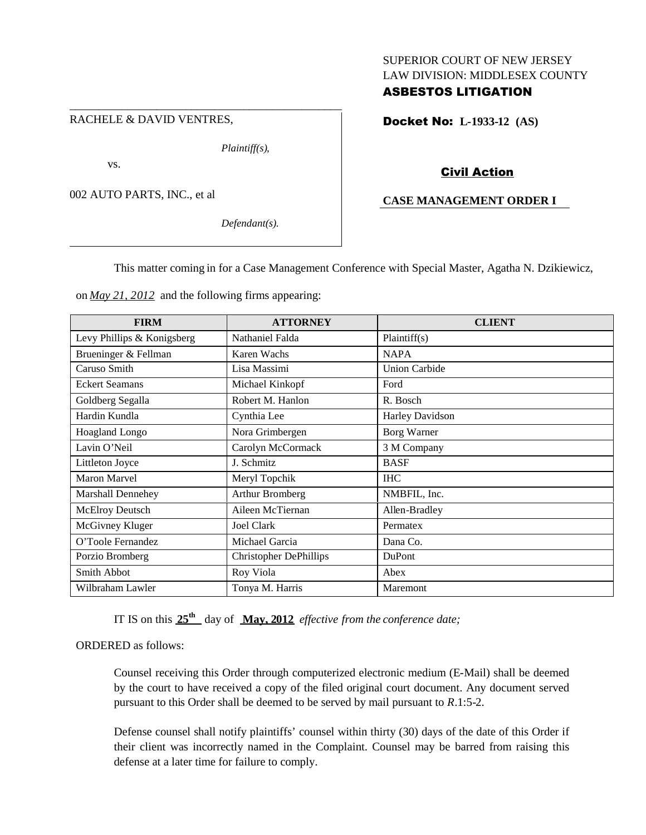### RACHELE & DAVID VENTRES,

*Plaintiff(s),*

vs.

002 AUTO PARTS, INC., et al

*Defendant(s).*

# SUPERIOR COURT OF NEW JERSEY LAW DIVISION: MIDDLESEX COUNTY ASBESTOS LITIGATION

Docket No: **L-1933-12 (AS)**

# Civil Action

## **CASE MANAGEMENT ORDER I**

This matter coming in for a Case Management Conference with Special Master, Agatha N. Dzikiewicz,

on *May 21, 2012* and the following firms appearing:

\_\_\_\_\_\_\_\_\_\_\_\_\_\_\_\_\_\_\_\_\_\_\_\_\_\_\_\_\_\_\_\_\_\_\_\_\_\_\_\_\_\_\_\_\_\_\_

| <b>FIRM</b>                | <b>ATTORNEY</b>               | <b>CLIENT</b>        |
|----------------------------|-------------------------------|----------------------|
| Levy Phillips & Konigsberg | Nathaniel Falda               | Plaintiff(s)         |
| Brueninger & Fellman       | Karen Wachs                   | <b>NAPA</b>          |
| Caruso Smith               | Lisa Massimi                  | <b>Union Carbide</b> |
| <b>Eckert Seamans</b>      | Michael Kinkopf               | Ford                 |
| Goldberg Segalla           | Robert M. Hanlon              | R. Bosch             |
| Hardin Kundla              | Cynthia Lee                   | Harley Davidson      |
| Hoagland Longo             | Nora Grimbergen               | Borg Warner          |
| Lavin O'Neil               | Carolyn McCormack             | 3 M Company          |
| Littleton Joyce            | J. Schmitz                    | <b>BASF</b>          |
| Maron Marvel               | Meryl Topchik                 | <b>IHC</b>           |
| Marshall Dennehey          | Arthur Bromberg               | NMBFIL, Inc.         |
| McElroy Deutsch            | Aileen McTiernan              | Allen-Bradley        |
| McGivney Kluger            | <b>Joel Clark</b>             | Permatex             |
| O'Toole Fernandez          | Michael Garcia                | Dana Co.             |
| Porzio Bromberg            | <b>Christopher DePhillips</b> | DuPont               |
| Smith Abbot                | Roy Viola                     | Abex                 |
| Wilbraham Lawler           | Tonya M. Harris               | Maremont             |

IT IS on this **25th** day of **May, 2012** *effective from the conference date;*

ORDERED as follows:

Counsel receiving this Order through computerized electronic medium (E-Mail) shall be deemed by the court to have received a copy of the filed original court document. Any document served pursuant to this Order shall be deemed to be served by mail pursuant to *R*.1:5-2.

Defense counsel shall notify plaintiffs' counsel within thirty (30) days of the date of this Order if their client was incorrectly named in the Complaint. Counsel may be barred from raising this defense at a later time for failure to comply.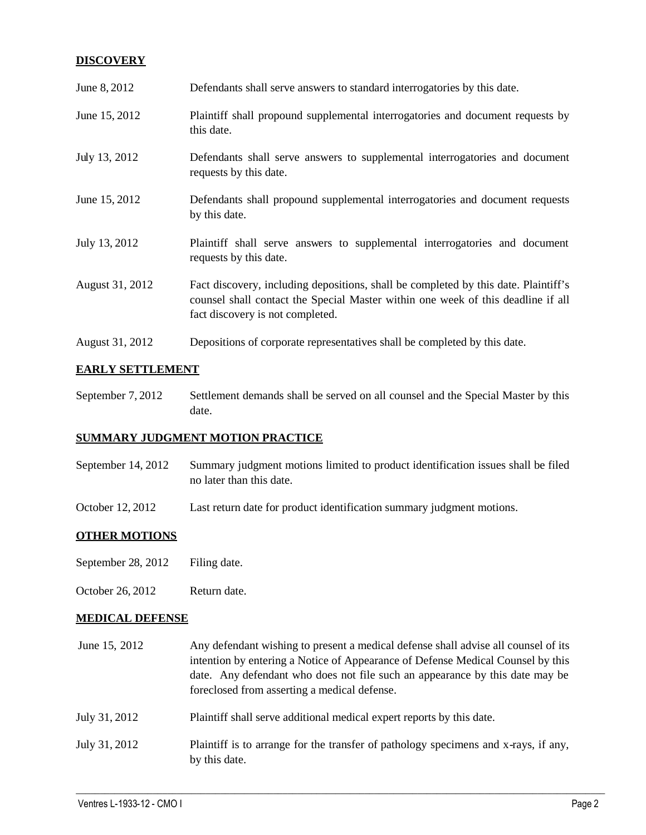# **DISCOVERY**

| June 8, 2012    | Defendants shall serve answers to standard interrogatories by this date.                                                                                                                                    |
|-----------------|-------------------------------------------------------------------------------------------------------------------------------------------------------------------------------------------------------------|
| June 15, 2012   | Plaintiff shall propound supplemental interrogatories and document requests by<br>this date.                                                                                                                |
| July 13, 2012   | Defendants shall serve answers to supplemental interrogatories and document<br>requests by this date.                                                                                                       |
| June 15, 2012   | Defendants shall propound supplemental interrogatories and document requests<br>by this date.                                                                                                               |
| July 13, 2012   | Plaintiff shall serve answers to supplemental interrogatories and document<br>requests by this date.                                                                                                        |
| August 31, 2012 | Fact discovery, including depositions, shall be completed by this date. Plaintiff's<br>counsel shall contact the Special Master within one week of this deadline if all<br>fact discovery is not completed. |
| August 31, 2012 | Depositions of corporate representatives shall be completed by this date.                                                                                                                                   |

## **EARLY SETTLEMENT**

September 7, 2012 Settlement demands shall be served on all counsel and the Special Master by this date.

## **SUMMARY JUDGMENT MOTION PRACTICE**

- September 14, 2012 Summary judgment motions limited to product identification issues shall be filed no later than this date.
- October 12, 2012 Last return date for product identification summary judgment motions.

## **OTHER MOTIONS**

- September 28, 2012 Filing date.
- October 26, 2012 Return date.

## **MEDICAL DEFENSE**

- June 15, 2012 Any defendant wishing to present a medical defense shall advise all counsel of its intention by entering a Notice of Appearance of Defense Medical Counsel by this date. Any defendant who does not file such an appearance by this date may be foreclosed from asserting a medical defense. July 31, 2012 Plaintiff shall serve additional medical expert reports by this date.
- July 31, 2012 Plaintiff is to arrange for the transfer of pathology specimens and x-rays, if any, by this date.

 $\_$  ,  $\_$  ,  $\_$  ,  $\_$  ,  $\_$  ,  $\_$  ,  $\_$  ,  $\_$  ,  $\_$  ,  $\_$  ,  $\_$  ,  $\_$  ,  $\_$  ,  $\_$  ,  $\_$  ,  $\_$  ,  $\_$  ,  $\_$  ,  $\_$  ,  $\_$  ,  $\_$  ,  $\_$  ,  $\_$  ,  $\_$  ,  $\_$  ,  $\_$  ,  $\_$  ,  $\_$  ,  $\_$  ,  $\_$  ,  $\_$  ,  $\_$  ,  $\_$  ,  $\_$  ,  $\_$  ,  $\_$  ,  $\_$  ,